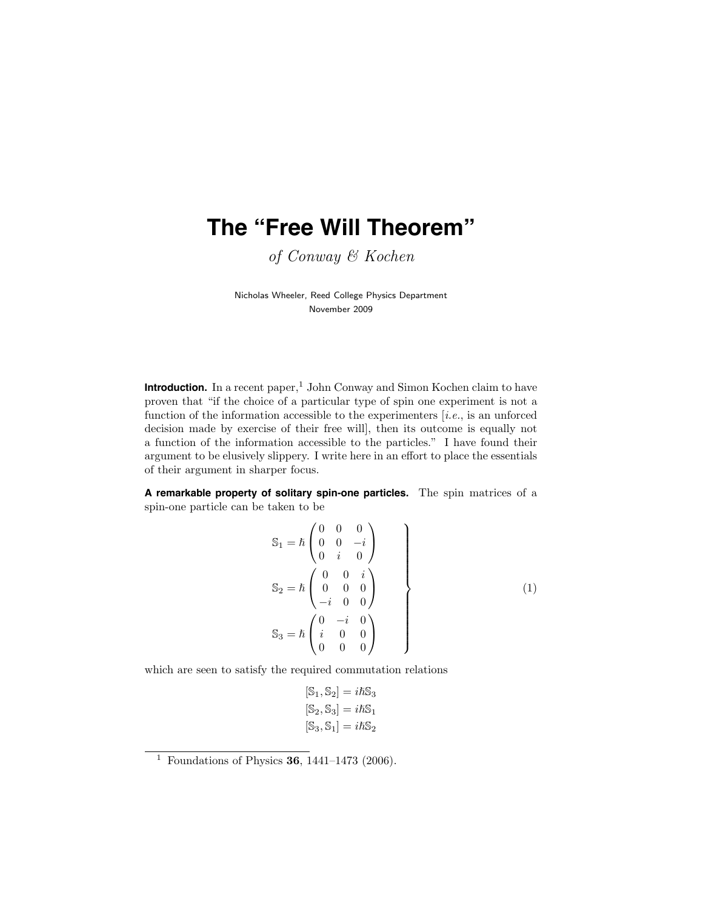# **The "Free Will Theorem"**

of Conway & Kochen

Nicholas Wheeler, Reed College Physics Department November 2009

 $\blacksquare$  Introduction. In a recent paper,<br><sup>1</sup> John Conway and Simon Kochen claim to have proven that "if the choice of a particular type of spin one experiment is not a function of the information accessible to the experimenters  $[i.e.,$  is an unforced decision made by exercise of their free will], then its outcome is equally not a function of the information accessible to the particles." I have found their argument to be elusively slippery. I write here in an effort to place the essentials of their argument in sharper focus.

**A remarkable property of solitary spin-one particles.** The spin matrices of a spin-one particle can be taken to be

$$
S_1 = \hbar \begin{pmatrix} 0 & 0 & 0 \\ 0 & 0 & -i \\ 0 & i & 0 \end{pmatrix}
$$
  
\n
$$
S_2 = \hbar \begin{pmatrix} 0 & 0 & i \\ 0 & 0 & 0 \\ -i & 0 & 0 \end{pmatrix}
$$
  
\n
$$
S_3 = \hbar \begin{pmatrix} 0 & -i & 0 \\ i & 0 & 0 \\ 0 & 0 & 0 \end{pmatrix}
$$
 (1)

which are seen to satisfy the required commutation relations

$$
[\mathbb{S}_1, \mathbb{S}_2] = i\hbar \mathbb{S}_3
$$

$$
[\mathbb{S}_2, \mathbb{S}_3] = i\hbar \mathbb{S}_1
$$

$$
[\mathbb{S}_3, \mathbb{S}_1] = i\hbar \mathbb{S}_2
$$

<sup>&</sup>lt;sup>1</sup> Foundations of Physics **36**, 1441–1473 (2006).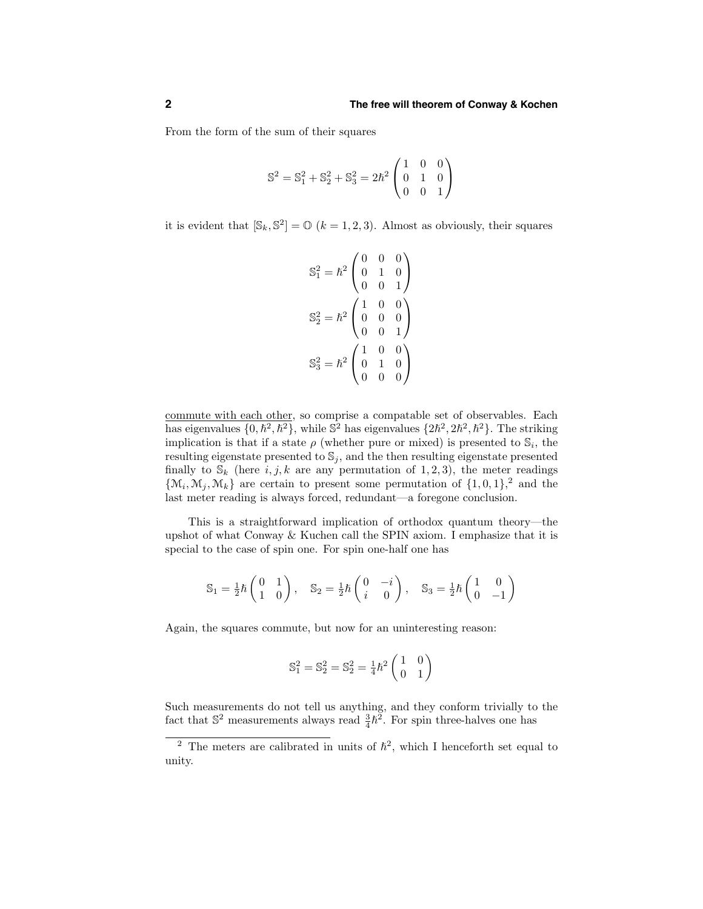From the form of the sum of their squares

$$
\mathbb{S}^2 = \mathbb{S}^2_1 + \mathbb{S}^2_2 + \mathbb{S}^2_3 = 2\hbar^2 \begin{pmatrix} 1 & 0 & 0 \\ 0 & 1 & 0 \\ 0 & 0 & 1 \end{pmatrix}
$$

it is evident that  $[\mathbb{S}_k, \mathbb{S}^2] = \mathbb{O}$   $(k = 1, 2, 3)$ . Almost as obviously, their squares

$$
\mathbb{S}_1^2 = \hbar^2 \begin{pmatrix} 0 & 0 & 0 \\ 0 & 1 & 0 \\ 0 & 0 & 1 \end{pmatrix}
$$

$$
\mathbb{S}_2^2 = \hbar^2 \begin{pmatrix} 1 & 0 & 0 \\ 0 & 0 & 0 \\ 0 & 0 & 1 \end{pmatrix}
$$

$$
\mathbb{S}_3^2 = \hbar^2 \begin{pmatrix} 1 & 0 & 0 \\ 0 & 1 & 0 \\ 0 & 0 & 0 \end{pmatrix}
$$

commute with each other, so comprise a compatable set of observables. Each has eigenvalues  $\{0, \hbar^2, \hbar^2\}$ , while  $\mathbb{S}^2$  has eigenvalues  $\{2\hbar^2, 2\hbar^2, \hbar^2\}$ . The striking implication is that if a state  $\rho$  (whether pure or mixed) is presented to  $\mathbb{S}_i$ , the resulting eigenstate presented to  $\mathbb{S}_i$ , and the then resulting eigenstate presented finally to  $\mathbb{S}_k$  (here  $i, j, k$  are any permutation of 1, 2, 3), the meter readings  $\{\mathcal{M}_i, \mathcal{M}_j, \mathcal{M}_k\}$  are certain to present some permutation of  $\{1, 0, 1\}$ , and the last meter reading is always forced, redundant—a foregone conclusion.

This is a straightforward implication of orthodox quantum theory—the upshot of what Conway & Kuchen call the SPIN axiom. I emphasize that it is special to the case of spin one. For spin one-half one has

$$
\mathbb{S}_1 = \frac{1}{2}\hbar \begin{pmatrix} 0 & 1 \\ 1 & 0 \end{pmatrix}, \quad \mathbb{S}_2 = \frac{1}{2}\hbar \begin{pmatrix} 0 & -i \\ i & 0 \end{pmatrix}, \quad \mathbb{S}_3 = \frac{1}{2}\hbar \begin{pmatrix} 1 & 0 \\ 0 & -1 \end{pmatrix}
$$

Again, the squares commute, but now for an uninteresting reason:

$$
\mathbb{S}^2_1 = \mathbb{S}^2_2 = \mathbb{S}^2_2 = \frac{1}{4}\hbar^2\begin{pmatrix} 1 & 0 \\ 0 & 1 \end{pmatrix}
$$

Such measurements do not tell us anything, and they conform trivially to the fact that  $\mathbb{S}^2$  measurements always read  $\frac{3}{4}\hbar^2$ . For spin three-halves one has

<sup>&</sup>lt;sup>2</sup> The meters are calibrated in units of  $\hbar^2$ , which I henceforth set equal to unity.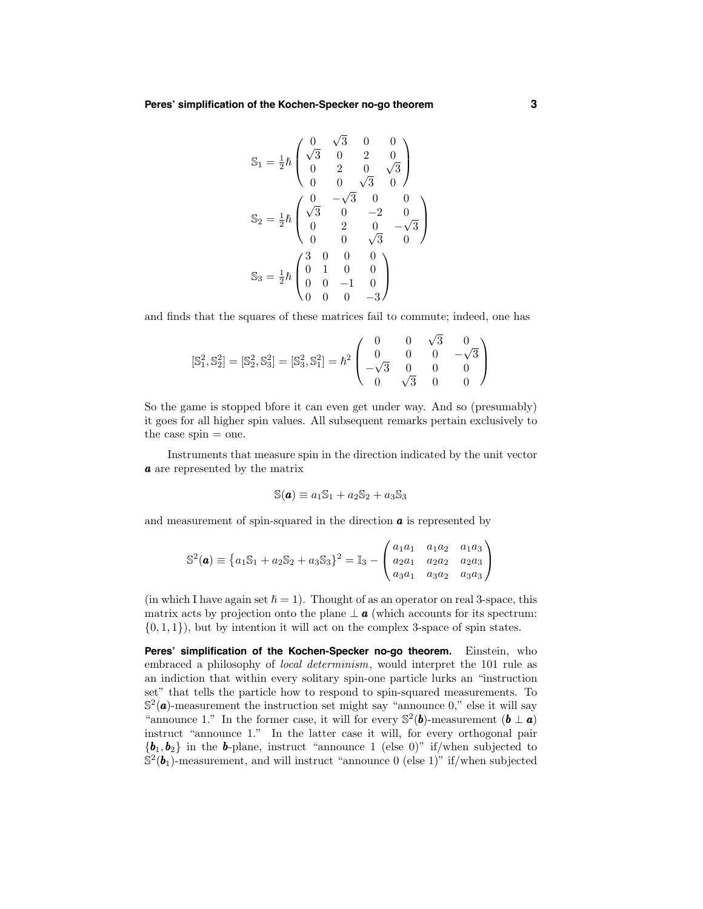$$
\mathbb{S}_1 = \frac{1}{2}\hbar \begin{pmatrix}\n0 & \sqrt{3} & 0 & 0 \\
\sqrt{3} & 0 & 2 & 0 \\
0 & 2 & 0 & \sqrt{3} \\
0 & 0 & \sqrt{3} & 0\n\end{pmatrix}
$$
\n
$$
\mathbb{S}_2 = \frac{1}{2}\hbar \begin{pmatrix}\n0 & -\sqrt{3} & 0 & 0 \\
\sqrt{3} & 0 & -2 & 0 \\
0 & 2 & 0 & -\sqrt{3} \\
0 & 0 & \sqrt{3} & 0\n\end{pmatrix}
$$
\n
$$
\mathbb{S}_3 = \frac{1}{2}\hbar \begin{pmatrix}\n3 & 0 & 0 & 0 \\
0 & 1 & 0 & 0 \\
0 & 0 & -1 & 0 \\
0 & 0 & 0 & -3\n\end{pmatrix}
$$

and finds that the squares of these matrices fail to commute; indeed, one has

$$
[\mathbb{S}_1^2, \mathbb{S}_2^2] = [\mathbb{S}_2^2, \mathbb{S}_3^2] = [\mathbb{S}_3^2, \mathbb{S}_1^2] = \hbar^2 \begin{pmatrix} 0 & 0 & \sqrt{3} & 0 \\ 0 & 0 & 0 & -\sqrt{3} \\ -\sqrt{3} & 0 & 0 & 0 \\ 0 & \sqrt{3} & 0 & 0 \end{pmatrix}
$$

So the game is stopped bfore it can even get under way. And so (presumably) it goes for all higher spin values. All subsequent remarks pertain exclusively to the case  $spin = one$ .

Instruments that measure spin in the direction indicated by the unit vector a are represented by the matrix

$$
\mathbb{S}(\mathbf{a}) \equiv a_1 \mathbb{S}_1 + a_2 \mathbb{S}_2 + a_3 \mathbb{S}_3
$$

and measurement of spin-squared in the direction  $\boldsymbol{a}$  is represented by

$$
\mathbb{S}^2(\mathbf{a}) \equiv \left\{ a_1 \mathbb{S}_1 + a_2 \mathbb{S}_2 + a_3 \mathbb{S}_3 \right\}^2 = \mathbb{I}_3 - \begin{pmatrix} a_1 a_1 & a_1 a_2 & a_1 a_3 \\ a_2 a_1 & a_2 a_2 & a_2 a_3 \\ a_3 a_1 & a_3 a_2 & a_3 a_3 \end{pmatrix}
$$

(in which I have again set  $\hbar = 1$ ). Thought of as an operator on real 3-space, this matrix acts by projection onto the plane  $\perp a$  (which accounts for its spectrum:  $\{0, 1, 1\}$ , but by intention it will act on the complex 3-space of spin states.

**Peres' simplification of the Kochen-Specker no-go theorem.** Einstein, who embraced a philosophy of local determinism, would interpret the 101 rule as an indiction that within every solitary spin-one particle lurks an "instruction set" that tells the particle how to respond to spin-squared measurements. To  $\mathbb{S}^2(\mathbf{a})$ -measurement the instruction set might say "announce 0," else it will say "announce 1." In the former case, it will for every  $\mathbb{S}^2(\mathbf{b})$ -measurement  $(\mathbf{b} \perp \mathbf{a})$ instruct "announce 1." In the latter case it will, for every orthogonal pair  ${\boldsymbol{b}_1, \boldsymbol{b}_2}$  in the **b**-plane, instruct "announce 1 (else 0)" if/when subjected to  $\mathbb{S}^2(\boldsymbol{b}_1)$ -measurement, and will instruct "announce 0 (else 1)" if/when subjected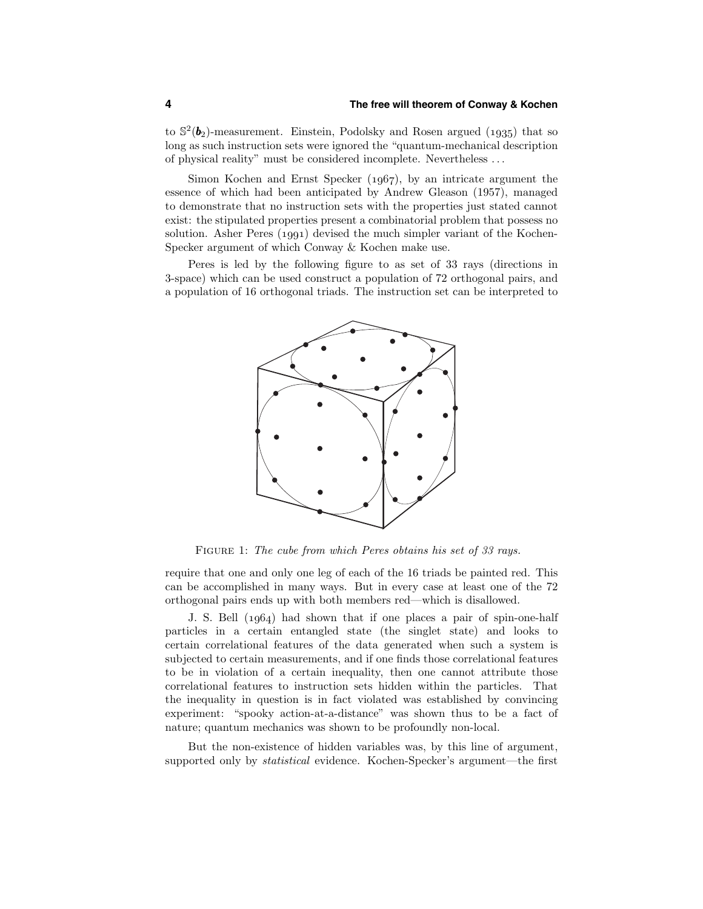#### **4 The free will theorem of Conway & Kochen**

to  $\mathbb{S}^2(\boldsymbol{b}_2)$ -measurement. Einstein, Podolsky and Rosen argued (1935) that so long as such instruction sets were ignored the "quantum-mechanical description of physical reality" must be considered incomplete. Nevertheless . . .

Simon Kochen and Ernst Specker  $(1967)$ , by an intricate argument the essence of which had been anticipated by Andrew Gleason (1957), managed to demonstrate that no instruction sets with the properties just stated cannot exist: the stipulated properties present a combinatorial problem that possess no solution. Asher Peres  $(1991)$  devised the much simpler variant of the Kochen-Specker argument of which Conway & Kochen make use.

Peres is led by the following figure to as set of 33 rays (directions in 3-space) which can be used construct a population of 72 orthogonal pairs, and a population of 16 orthogonal triads. The instruction set can be interpreted to



FIGURE 1: The cube from which Peres obtains his set of 33 rays.

require that one and only one leg of each of the 16 triads be painted red. This can be accomplished in many ways. But in every case at least one of the 72 orthogonal pairs ends up with both members red—which is disallowed.

J. S. Bell  $(1.064)$  had shown that if one places a pair of spin-one-half particles in a certain entangled state (the singlet state) and looks to certain correlational features of the data generated when such a system is subjected to certain measurements, and if one finds those correlational features to be in violation of a certain inequality, then one cannot attribute those correlational features to instruction sets hidden within the particles. That the inequality in question is in fact violated was established by convincing experiment: "spooky action-at-a-distance" was shown thus to be a fact of nature; quantum mechanics was shown to be profoundly non-local.

But the non-existence of hidden variables was, by this line of argument, supported only by *statistical* evidence. Kochen-Specker's argument—the first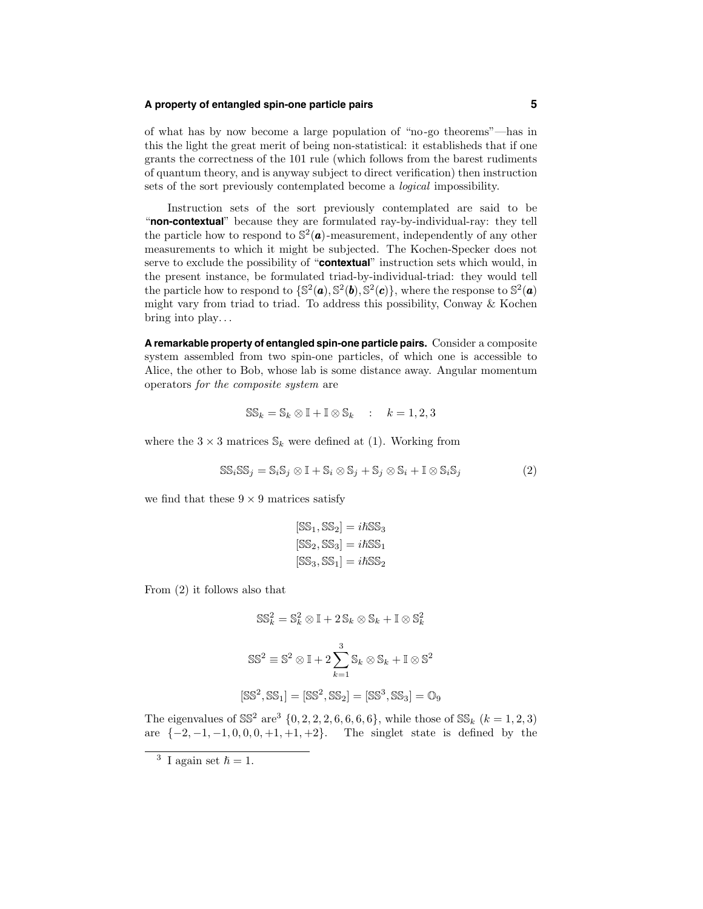## **A property of entangled spin-one particle pairs 5**

of what has by now become a large population of "no-go theorems"—has in this the light the great merit of being non-statistical: it establisheds that if one grants the correctness of the 101 rule (which follows from the barest rudiments of quantum theory, and is anyway subject to direct verification) then instruction sets of the sort previously contemplated become a logical impossibility.

Instruction sets of the sort previously contemplated are said to be "**non-contextual**" because they are formulated ray-by-individual-ray: they tell the particle how to respond to  $\mathbb{S}^2(\mathbf{a})$ -measurement, independently of any other measurements to which it might be subjected. The Kochen-Specker does not serve to exclude the possibility of "**contextual**" instruction sets which would, in the present instance, be formulated triad-by-individual-triad: they would tell the particle how to respond to  $\{\mathbb{S}^2(\boldsymbol{a}), \mathbb{S}^2(\boldsymbol{b}), \mathbb{S}^2(\boldsymbol{c})\}$ , where the response to  $\mathbb{S}^2(\boldsymbol{a})$ might vary from triad to triad. To address this possibility, Conway & Kochen bring into play. . .

**A remarkable property of entangled spin-one particle pairs.** Consider a composite system assembled from two spin-one particles, of which one is accessible to Alice, the other to Bob, whose lab is some distance away. Angular momentum operators for the composite system are

$$
\mathbb{SS}_k = \mathbb{S}_k \otimes \mathbb{I} + \mathbb{I} \otimes \mathbb{S}_k \qquad k = 1, 2, 3
$$

where the  $3 \times 3$  matrices  $\mathcal{S}_k$  were defined at (1). Working from

$$
SS_i SS_j = S_i S_j \otimes I + S_i \otimes S_j + S_j \otimes S_i + I \otimes S_i S_j \tag{2}
$$

we find that these  $9 \times 9$  matrices satisfy

$$
[SS1, SS2] = i\hbar SS3
$$

$$
[SS2, SS3] = i\hbar SS1
$$

$$
[SS3, SS1] = i\hbar SS2
$$

From (2) it follows also that

$$
SS_k^2 = S_k^2 \otimes \mathbb{I} + 2S_k \otimes S_k + \mathbb{I} \otimes S_k^2
$$

$$
SS^2 \equiv S^2 \otimes \mathbb{I} + 2\sum_{k=1}^3 S_k \otimes S_k + \mathbb{I} \otimes S^2
$$

$$
[SS^2, SS_1] = [SS^2, SS_2] = [SS^3, SS_3] = O_9
$$

The eigenvalues of  $\mathbb{SS}^2$  are  $\{0, 2, 2, 2, 6, 6, 6, 6\}$ , while those of  $\mathbb{SS}_k$   $(k = 1, 2, 3)$ are  $\{-2, -1, -1, 0, 0, 0, +1, +1, +2\}$ . The singlet state is defined by the

<sup>&</sup>lt;sup>3</sup> I again set  $\hbar = 1$ .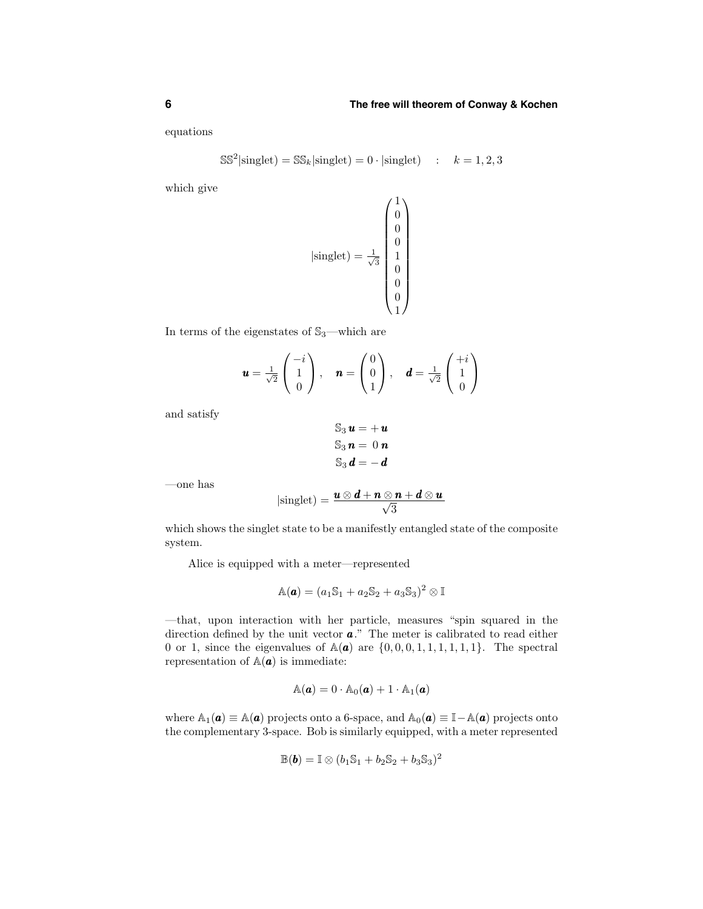equations

$$
S\mathbb{S}^2|\text{singlet}) = S\mathbb{S}_k|\text{singlet}) = 0 \cdot |\text{singlet}) \quad : \quad k = 1, 2, 3
$$

which give

$$
|\text{singlet}\rangle = \frac{1}{\sqrt{3}} \begin{pmatrix} 1 \\ 0 \\ 0 \\ 1 \\ 0 \\ 0 \\ 0 \\ 1 \end{pmatrix}
$$

In terms of the eigenstates of  $\mathbb{S}_3$  —which are

$$
\mathbf{u} = \frac{1}{\sqrt{2}} \begin{pmatrix} -i \\ 1 \\ 0 \end{pmatrix}, \quad \mathbf{n} = \begin{pmatrix} 0 \\ 0 \\ 1 \end{pmatrix}, \quad \mathbf{d} = \frac{1}{\sqrt{2}} \begin{pmatrix} +i \\ 1 \\ 0 \end{pmatrix}
$$

and satisfy

$$
S_3 u = +u
$$
  

$$
S_3 n = 0 n
$$
  

$$
S_3 d = -d
$$

—one has

$$
|\text{singlet}) = \frac{u \otimes d + n \otimes n + d \otimes u}{\sqrt{3}}
$$

which shows the singlet state to be a manifestly entangled state of the composite system.

Alice is equipped with a meter—represented

$$
\mathbb{A}(\boldsymbol{a}) = (a_1\mathbb{S}_1 + a_2\mathbb{S}_2 + a_3\mathbb{S}_3)^2 \otimes \mathbb{I}
$$

—that, upon interaction with her particle, measures "spin squared in the direction defined by the unit vector  $a$ ." The meter is calibrated to read either 0 or 1, since the eigenvalues of  $\mathbb{A}(\mathbf{a})$  are  $\{0,0,0,1,1,1,1,1,1\}$ . The spectral representation of  $\mathbb{A}(\mathbf{a})$  is immediate:

$$
\mathbb{A}(\boldsymbol{a}) = 0 \cdot \mathbb{A}_0(\boldsymbol{a}) + 1 \cdot \mathbb{A}_1(\boldsymbol{a})
$$

where  $\mathbb{A}_1(\mathbf{a}) \equiv \mathbb{A}(\mathbf{a})$  projects onto a 6-space, and  $\mathbb{A}_0(\mathbf{a}) \equiv \mathbb{I} - \mathbb{A}(\mathbf{a})$  projects onto the complementary 3-space. Bob is similarly equipped, with a meter represented

$$
\mathbb{B}(\boldsymbol{b}) = \mathbb{I} \otimes (b_1 \mathbb{S}_1 + b_2 \mathbb{S}_2 + b_3 \mathbb{S}_3)^2
$$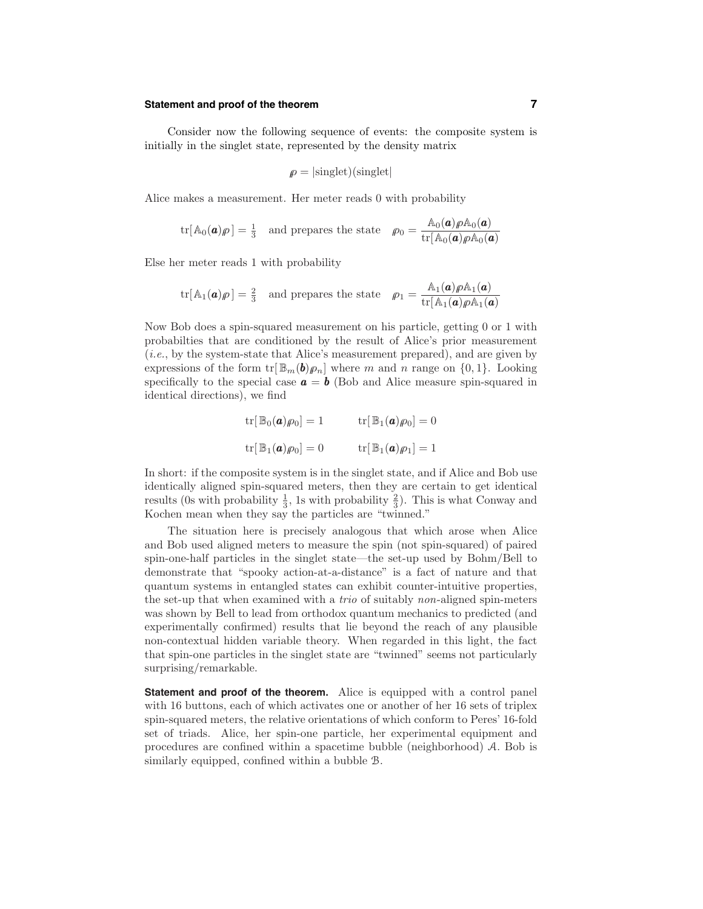#### **Statement and proof of the theorem 7**

Consider now the following sequence of events: the composite system is initially in the singlet state, represented by the density matrix

$$
\rho = |\text{singlet})(\text{singlet}|
$$

Alice makes a measurement. Her meter reads 0 with probability

$$
\text{tr}[\mathbb{A}_0(\boldsymbol{a})\rho] = \frac{1}{3} \quad \text{and preparse the state} \quad \rho_0 = \frac{\mathbb{A}_0(\boldsymbol{a})\rho \mathbb{A}_0(\boldsymbol{a})}{\text{tr}[\mathbb{A}_0(\boldsymbol{a})\rho \mathbb{A}_0(\boldsymbol{a})]}
$$

Else her meter reads 1 with probability

$$
\mathrm{tr}[\mathbb{A}_1(\boldsymbol{a})\rho] = \frac{2}{3} \quad \text{and preparse the state} \quad \rho_1 = \frac{\mathbb{A}_1(\boldsymbol{a})\rho \mathbb{A}_1(\boldsymbol{a})}{\mathrm{tr}[\mathbb{A}_1(\boldsymbol{a})\rho \mathbb{A}_1(\boldsymbol{a})]}
$$

Now Bob does a spin-squared measurement on his particle, getting 0 or 1 with probabilties that are conditioned by the result of Alice's prior measurement (i.e., by the system-state that Alice's measurement prepared), and are given by expressions of the form  $\text{tr}[\mathbb{B}_m(b)\rho_n]$  where m and n range on  $\{0, 1\}$ . Looking specifically to the special case  $\mathbf{a} = \mathbf{b}$  (Bob and Alice measure spin-squared in identical directions), we find

$$
\operatorname{tr}[\mathbb{B}_0(\mathbf{a})\rho_0] = 1 \qquad \qquad \operatorname{tr}[\mathbb{B}_1(\mathbf{a})\rho_0] = 0
$$

$$
\operatorname{tr}[\mathbb{B}_1(\mathbf{a})\rho_0] = 0 \qquad \qquad \operatorname{tr}[\mathbb{B}_1(\mathbf{a})\rho_1] = 1
$$

In short: if the composite system is in the singlet state, and if Alice and Bob use identically aligned spin-squared meters, then they are certain to get identical results (0s with probability  $\frac{1}{3}$ , 1s with probability  $\frac{2}{3}$ ). This is what Conway and Kochen mean when they say the particles are "twinned."

The situation here is precisely analogous that which arose when Alice and Bob used aligned meters to measure the spin (not spin-squared) of paired spin-one-half particles in the singlet state—the set-up used by Bohm/Bell to demonstrate that "spooky action-at-a-distance" is a fact of nature and that quantum systems in entangled states can exhibit counter-intuitive properties, the set-up that when examined with a trio of suitably non-aligned spin-meters was shown by Bell to lead from orthodox quantum mechanics to predicted (and experimentally confirmed) results that lie beyond the reach of any plausible non-contextual hidden variable theory. When regarded in this light, the fact that spin-one particles in the singlet state are "twinned" seems not particularly surprising/remarkable.

**Statement and proof of the theorem.** Alice is equipped with a control panel with 16 buttons, each of which activates one or another of her 16 sets of triplex spin-squared meters, the relative orientations of which conform to Peres' 16-fold set of triads. Alice, her spin-one particle, her experimental equipment and procedures are confined within a spacetime bubble (neighborhood) A. Bob is similarly equipped, confined within a bubble B.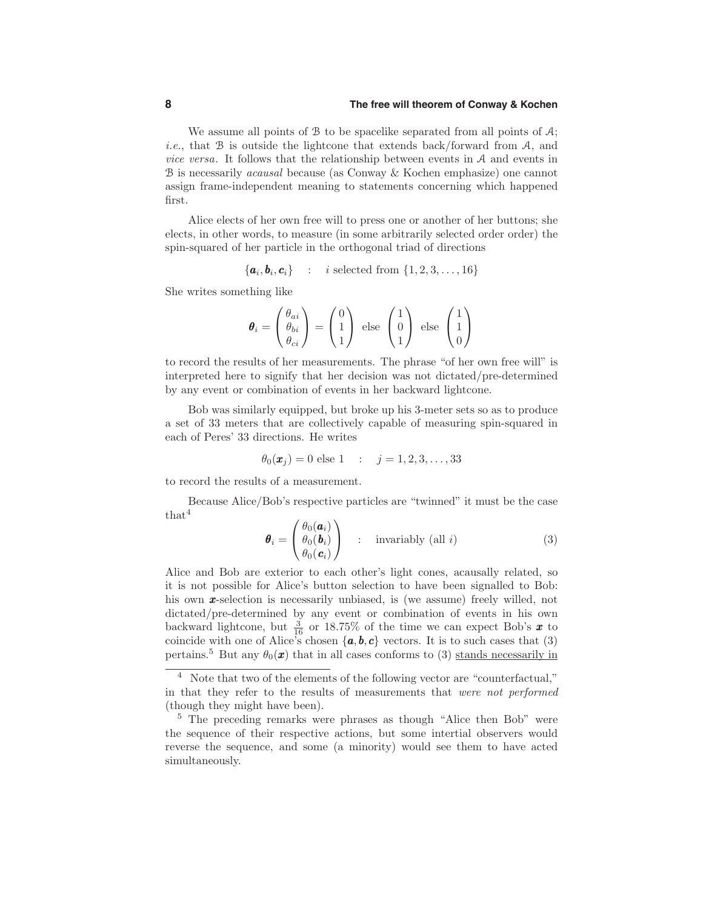#### **8 The free will theorem of Conway & Kochen**

We assume all points of  $\mathcal B$  to be spacelike separated from all points of  $\mathcal A$ ; *i.e.*, that  $B$  is outside the lightcone that extends back/forward from  $A$ , and vice versa. It follows that the relationship between events in A and events in B is necessarily acausal because (as Conway & Kochen emphasize) one cannot assign frame-independent meaning to statements concerning which happened first.

Alice elects of her own free will to press one or another of her buttons; she elects, in other words, to measure (in some arbitrarily selected order order) the spin-squared of her particle in the orthogonal triad of directions

$$
\{\boldsymbol{a}_i, \boldsymbol{b}_i, \boldsymbol{c}_i\} \quad : \quad i \text{ selected from } \{1, 2, 3, \ldots, 16\}
$$

She writes something like

$$
\boldsymbol{\theta}_{i} = \begin{pmatrix} \theta_{ai} \\ \theta_{bi} \\ \theta_{ci} \end{pmatrix} = \begin{pmatrix} 0 \\ 1 \\ 1 \end{pmatrix} \text{ else } \begin{pmatrix} 1 \\ 0 \\ 1 \end{pmatrix} \text{ else } \begin{pmatrix} 1 \\ 1 \\ 0 \end{pmatrix}
$$

to record the results of her measurements. The phrase "of her own free will" is interpreted here to signify that her decision was not dictated/pre-determined by any event or combination of events in her backward lightcone.

Bob was similarly equipped, but broke up his 3-meter sets so as to produce a set of 33 meters that are collectively capable of measuring spin-squared in each of Peres' 33 directions. He writes

$$
\theta_0(\mathbf{x}_j) = 0
$$
 else 1 :  $j = 1, 2, 3, ..., 33$ 

to record the results of a measurement.

Because Alice/Bob's respective particles are "twinned" it must be the case  $that<sup>4</sup>$ 

$$
\boldsymbol{\theta}_{i} = \begin{pmatrix} \theta_{0}(\boldsymbol{a}_{i}) \\ \theta_{0}(\boldsymbol{b}_{i}) \\ \theta_{0}(\boldsymbol{c}_{i}) \end{pmatrix} : \text{invariantly (all } i)
$$
 (3)

Alice and Bob are exterior to each other's light cones, acausally related, so it is not possible for Alice's button selection to have been signalled to Bob: his own **x**-selection is necessarily unbiased, is (we assume) freely willed, not dictated/pre-determined by any event or combination of events in his own backward lightcone, but  $\frac{3}{16}$  or 18.75% of the time we can expect Bob's  $\boldsymbol{x}$  to coincide with one of Alice's chosen  $\{a, b, c\}$  vectors. It is to such cases that (3) pertains.<sup>5</sup> But any  $\theta_0(\mathbf{x})$  that in all cases conforms to (3) stands necessarily in

<sup>4</sup> Note that two of the elements of the following vector are "counterfactual," in that they refer to the results of measurements that were not performed (though they might have been).

<sup>5</sup> The preceding remarks were phrases as though "Alice then Bob" were the sequence of their respective actions, but some intertial observers would reverse the sequence, and some (a minority) would see them to have acted simultaneously.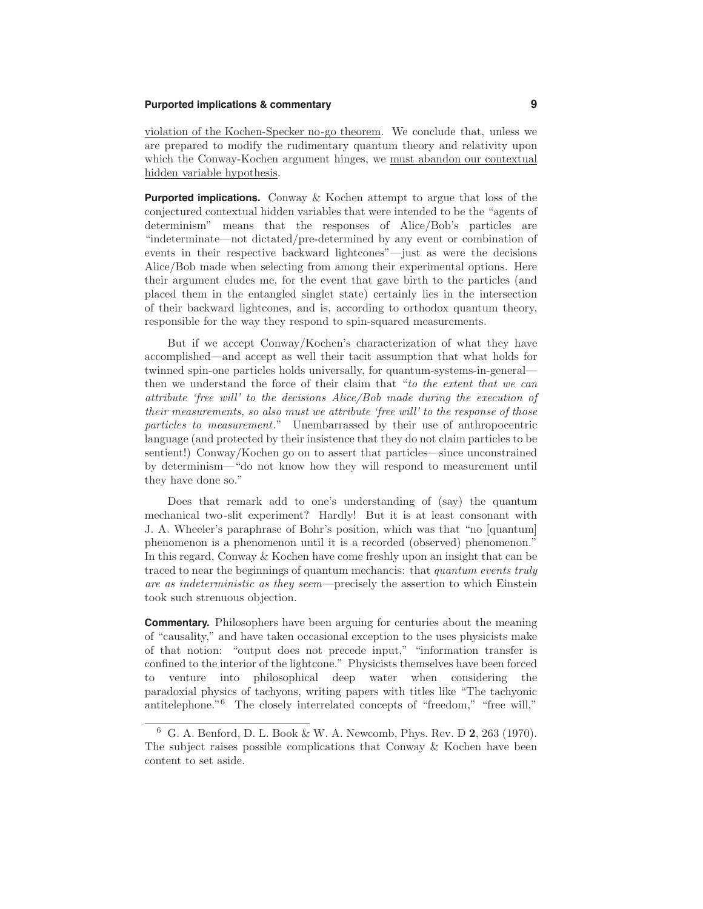## **Purported implications & commentary 9**

violation of the Kochen-Specker no-go theorem. We conclude that, unless we are prepared to modify the rudimentary quantum theory and relativity upon which the Conway-Kochen argument hinges, we must abandon our contextual hidden variable hypothesis.

**Purported implications.** Conway & Kochen attempt to argue that loss of the conjectured contextual hidden variables that were intended to be the "agents of determinism" means that the responses of Alice/Bob's particles are "indeterminate—not dictated/pre-determined by any event or combination of events in their respective backward lightcones"—just as were the decisions Alice/Bob made when selecting from among their experimental options. Here their argument eludes me, for the event that gave birth to the particles (and placed them in the entangled singlet state) certainly lies in the intersection of their backward lightcones, and is, according to orthodox quantum theory, responsible for the way they respond to spin-squared measurements.

But if we accept Conway/Kochen's characterization of what they have accomplished—and accept as well their tacit assumption that what holds for twinned spin-one particles holds universally, for quantum-systems-in-general then we understand the force of their claim that "to the extent that we can attribute 'free will' to the decisions Alice/Bob made during the execution of their measurements, so also must we attribute 'free will' to the response of those particles to measurement." Unembarrassed by their use of anthropocentric language (and protected by their insistence that they do not claim particles to be sentient!) Conway/Kochen go on to assert that particles—since unconstrained by determinism—"do not know how they will respond to measurement until they have done so."

Does that remark add to one's understanding of (say) the quantum mechanical two-slit experiment? Hardly! But it is at least consonant with J. A. Wheeler's paraphrase of Bohr's position, which was that "no [quantum] phenomenon is a phenomenon until it is a recorded (observed) phenomenon." In this regard, Conway & Kochen have come freshly upon an insight that can be traced to near the beginnings of quantum mechancis: that *quantum events truly* are as indeterministic as they seem—precisely the assertion to which Einstein took such strenuous objection.

**Commentary.** Philosophers have been arguing for centuries about the meaning of "causality," and have taken occasional exception to the uses physicists make of that notion: "output does not precede input," "information transfer is confined to the interior of the lightcone." Physicists themselves have been forced to venture into philosophical deep water when considering the paradoxial physics of tachyons, writing papers with titles like "The tachyonic antitelephone."<sup>6</sup> The closely interrelated concepts of "freedom," "free will,"

<sup>6</sup> G. A. Benford, D. L. Book & W. A. Newcomb, Phys. Rev. D 2, 263 (1970). The subject raises possible complications that Conway & Kochen have been content to set aside.